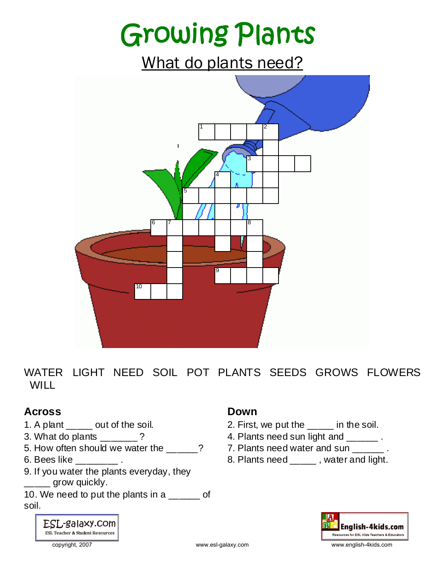## Growing Plants

What do plants need?



WATER LIGHT NEED SOIL POT PLANTS SEEDS GROWS FLOWERS WILL.

#### **Across**

- 1. A plant \_\_\_\_\_ out of the soil.
- 3. What do plants  $\frac{1}{2}$  ?
- 5. How often should we water the  $\sim$  ?
- 6. Bees like \_\_\_\_\_\_\_\_ .
- 9. If you water the plants everyday, they \_\_\_\_\_ grow quickly.
- 10. We need to put the plants in a \_\_\_\_\_\_ of soil.

### ESL-galaxy.com **ESL Teacher & Student Resources**

#### **Down**

- 2. First, we put the \_\_\_\_\_ in the soil.
- 4. Plants need sun light and \_\_\_\_\_\_\_.
- 7. Plants need water and sun ...
- 8. Plants need \_\_\_\_\_\_, water and light.